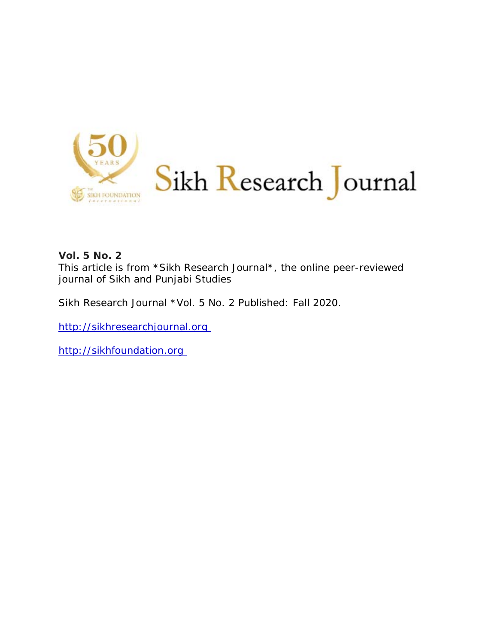

## **Vol. 5 No. 2**

This article is from \*Sikh Research Journal\*, the online peer-reviewed journal of Sikh and Punjabi Studies

Sikh Research Journal \*Vol. 5 No. 2 Published: Fall 2020.

http://sikhresearchjournal.org

http://sikhfoundation.org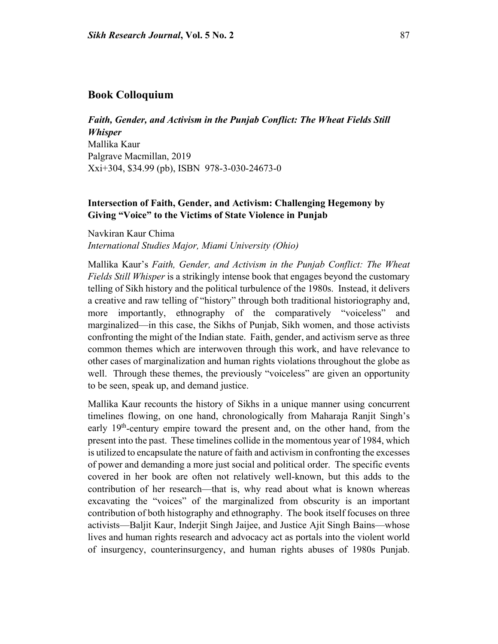## **Book Colloquium**

*Faith, Gender, and Activism in the Punjab Conflict: The Wheat Fields Still Whisper* Mallika Kaur Palgrave Macmillan, 2019 Xxi+304, \$34.99 (pb), ISBN 978-3-030-24673-0

## **Intersection of Faith, Gender, and Activism: Challenging Hegemony by Giving "Voice" to the Victims of State Violence in Punjab**

Navkiran Kaur Chima *International Studies Major, Miami University (Ohio)*

Mallika Kaur's *Faith, Gender, and Activism in the Punjab Conflict: The Wheat Fields Still Whisper* is a strikingly intense book that engages beyond the customary telling of Sikh history and the political turbulence of the 1980s. Instead, it delivers a creative and raw telling of "history" through both traditional historiography and, more importantly, ethnography of the comparatively "voiceless" and marginalized—in this case, the Sikhs of Punjab, Sikh women, and those activists confronting the might of the Indian state. Faith, gender, and activism serve as three common themes which are interwoven through this work, and have relevance to other cases of marginalization and human rights violations throughout the globe as well. Through these themes, the previously "voiceless" are given an opportunity to be seen, speak up, and demand justice.

Mallika Kaur recounts the history of Sikhs in a unique manner using concurrent timelines flowing, on one hand, chronologically from Maharaja Ranjit Singh's early 19<sup>th</sup>-century empire toward the present and, on the other hand, from the present into the past. These timelines collide in the momentous year of 1984, which is utilized to encapsulate the nature of faith and activism in confronting the excesses of power and demanding a more just social and political order. The specific events covered in her book are often not relatively well-known, but this adds to the contribution of her research—that is, why read about what is known whereas excavating the "voices" of the marginalized from obscurity is an important contribution of both histography and ethnography. The book itself focuses on three activists—Baljit Kaur, Inderjit Singh Jaijee, and Justice Ajit Singh Bains—whose lives and human rights research and advocacy act as portals into the violent world of insurgency, counterinsurgency, and human rights abuses of 1980s Punjab.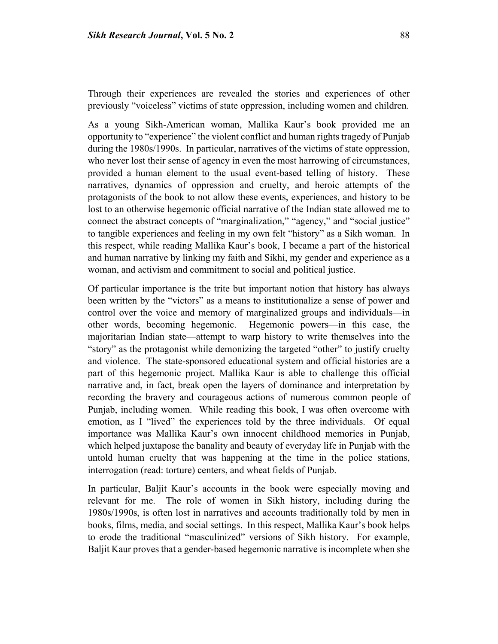Through their experiences are revealed the stories and experiences of other previously "voiceless" victims of state oppression, including women and children.

As a young Sikh-American woman, Mallika Kaur's book provided me an opportunity to "experience" the violent conflict and human rights tragedy of Punjab during the 1980s/1990s. In particular, narratives of the victims of state oppression, who never lost their sense of agency in even the most harrowing of circumstances, provided a human element to the usual event-based telling of history. These narratives, dynamics of oppression and cruelty, and heroic attempts of the protagonists of the book to not allow these events, experiences, and history to be lost to an otherwise hegemonic official narrative of the Indian state allowed me to connect the abstract concepts of "marginalization," "agency," and "social justice" to tangible experiences and feeling in my own felt "history" as a Sikh woman. In this respect, while reading Mallika Kaur's book, I became a part of the historical and human narrative by linking my faith and Sikhi, my gender and experience as a woman, and activism and commitment to social and political justice.

Of particular importance is the trite but important notion that history has always been written by the "victors" as a means to institutionalize a sense of power and control over the voice and memory of marginalized groups and individuals—in other words, becoming hegemonic. Hegemonic powers—in this case, the majoritarian Indian state—attempt to warp history to write themselves into the "story" as the protagonist while demonizing the targeted "other" to justify cruelty and violence. The state-sponsored educational system and official histories are a part of this hegemonic project. Mallika Kaur is able to challenge this official narrative and, in fact, break open the layers of dominance and interpretation by recording the bravery and courageous actions of numerous common people of Punjab, including women. While reading this book, I was often overcome with emotion, as I "lived" the experiences told by the three individuals. Of equal importance was Mallika Kaur's own innocent childhood memories in Punjab, which helped juxtapose the banality and beauty of everyday life in Punjab with the untold human cruelty that was happening at the time in the police stations, interrogation (read: torture) centers, and wheat fields of Punjab.

In particular, Baljit Kaur's accounts in the book were especially moving and relevant for me. The role of women in Sikh history, including during the 1980s/1990s, is often lost in narratives and accounts traditionally told by men in books, films, media, and social settings. In this respect, Mallika Kaur's book helps to erode the traditional "masculinized" versions of Sikh history. For example, Baljit Kaur proves that a gender-based hegemonic narrative is incomplete when she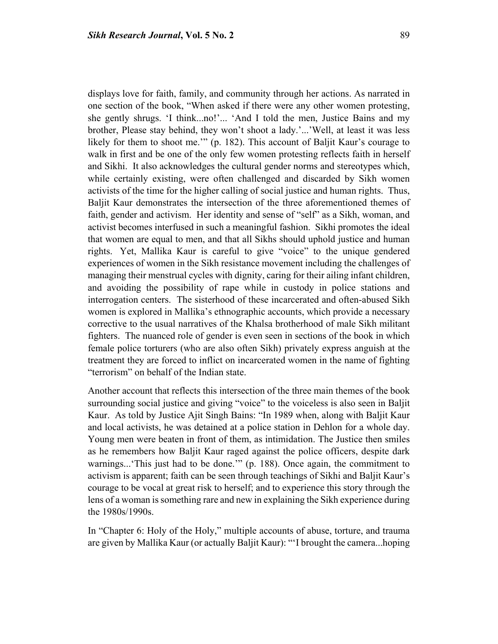displays love for faith, family, and community through her actions. As narrated in one section of the book, "When asked if there were any other women protesting, she gently shrugs. 'I think...no!'... 'And I told the men, Justice Bains and my brother, Please stay behind, they won't shoot a lady.'...'Well, at least it was less likely for them to shoot me.'" (p. 182). This account of Baljit Kaur's courage to walk in first and be one of the only few women protesting reflects faith in herself and Sikhi. It also acknowledges the cultural gender norms and stereotypes which, while certainly existing, were often challenged and discarded by Sikh women activists of the time for the higher calling of social justice and human rights. Thus, Baljit Kaur demonstrates the intersection of the three aforementioned themes of faith, gender and activism. Her identity and sense of "self" as a Sikh, woman, and activist becomes interfused in such a meaningful fashion. Sikhi promotes the ideal that women are equal to men, and that all Sikhs should uphold justice and human rights. Yet, Mallika Kaur is careful to give "voice" to the unique gendered experiences of women in the Sikh resistance movement including the challenges of managing their menstrual cycles with dignity, caring for their ailing infant children, and avoiding the possibility of rape while in custody in police stations and interrogation centers. The sisterhood of these incarcerated and often-abused Sikh women is explored in Mallika's ethnographic accounts, which provide a necessary corrective to the usual narratives of the Khalsa brotherhood of male Sikh militant fighters. The nuanced role of gender is even seen in sections of the book in which female police torturers (who are also often Sikh) privately express anguish at the treatment they are forced to inflict on incarcerated women in the name of fighting "terrorism" on behalf of the Indian state.

Another account that reflects this intersection of the three main themes of the book surrounding social justice and giving "voice" to the voiceless is also seen in Baljit Kaur. As told by Justice Ajit Singh Bains: "In 1989 when, along with Baljit Kaur and local activists, he was detained at a police station in Dehlon for a whole day. Young men were beaten in front of them, as intimidation. The Justice then smiles as he remembers how Baljit Kaur raged against the police officers, despite dark warnings...'This just had to be done.'" (p. 188). Once again, the commitment to activism is apparent; faith can be seen through teachings of Sikhi and Baljit Kaur's courage to be vocal at great risk to herself; and to experience this story through the lens of a woman is something rare and new in explaining the Sikh experience during the 1980s/1990s.

In "Chapter 6: Holy of the Holy," multiple accounts of abuse, torture, and trauma are given by Mallika Kaur (or actually Baljit Kaur): "'I brought the camera...hoping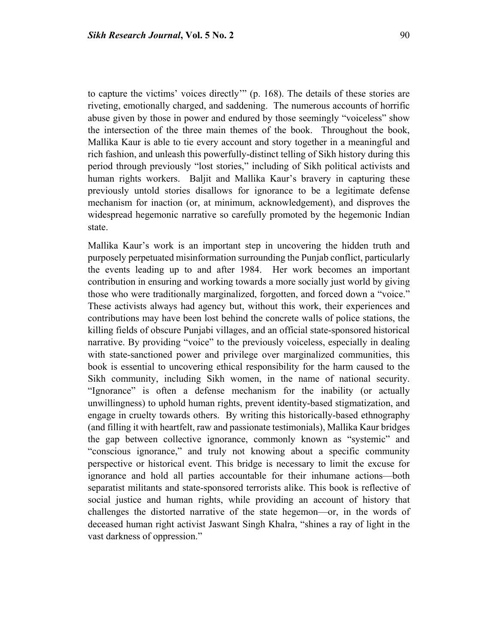to capture the victims' voices directly'" (p. 168). The details of these stories are riveting, emotionally charged, and saddening. The numerous accounts of horrific abuse given by those in power and endured by those seemingly "voiceless" show the intersection of the three main themes of the book. Throughout the book, Mallika Kaur is able to tie every account and story together in a meaningful and rich fashion, and unleash this powerfully-distinct telling of Sikh history during this period through previously "lost stories," including of Sikh political activists and human rights workers. Baljit and Mallika Kaur's bravery in capturing these previously untold stories disallows for ignorance to be a legitimate defense mechanism for inaction (or, at minimum, acknowledgement), and disproves the widespread hegemonic narrative so carefully promoted by the hegemonic Indian state.

Mallika Kaur's work is an important step in uncovering the hidden truth and purposely perpetuated misinformation surrounding the Punjab conflict, particularly the events leading up to and after 1984. Her work becomes an important contribution in ensuring and working towards a more socially just world by giving those who were traditionally marginalized, forgotten, and forced down a "voice." These activists always had agency but, without this work, their experiences and contributions may have been lost behind the concrete walls of police stations, the killing fields of obscure Punjabi villages, and an official state-sponsored historical narrative. By providing "voice" to the previously voiceless, especially in dealing with state-sanctioned power and privilege over marginalized communities, this book is essential to uncovering ethical responsibility for the harm caused to the Sikh community, including Sikh women, in the name of national security. "Ignorance" is often a defense mechanism for the inability (or actually unwillingness) to uphold human rights, prevent identity-based stigmatization, and engage in cruelty towards others. By writing this historically-based ethnography (and filling it with heartfelt, raw and passionate testimonials), Mallika Kaur bridges the gap between collective ignorance, commonly known as "systemic" and "conscious ignorance," and truly not knowing about a specific community perspective or historical event. This bridge is necessary to limit the excuse for ignorance and hold all parties accountable for their inhumane actions—both separatist militants and state-sponsored terrorists alike. This book is reflective of social justice and human rights, while providing an account of history that challenges the distorted narrative of the state hegemon—or, in the words of deceased human right activist Jaswant Singh Khalra, "shines a ray of light in the vast darkness of oppression."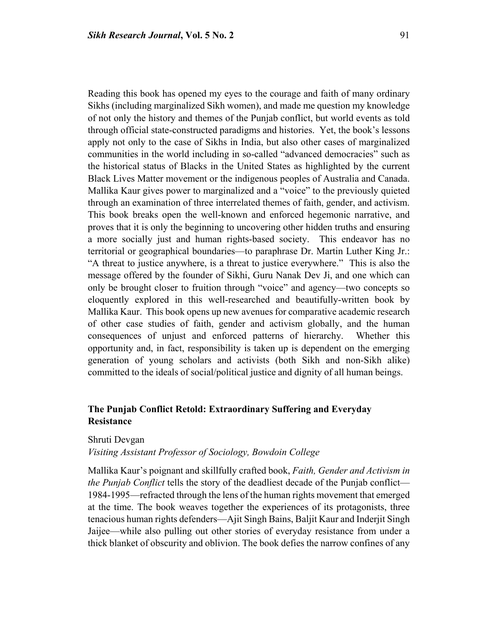Reading this book has opened my eyes to the courage and faith of many ordinary Sikhs (including marginalized Sikh women), and made me question my knowledge of not only the history and themes of the Punjab conflict, but world events as told through official state-constructed paradigms and histories. Yet, the book's lessons apply not only to the case of Sikhs in India, but also other cases of marginalized communities in the world including in so-called "advanced democracies" such as the historical status of Blacks in the United States as highlighted by the current Black Lives Matter movement or the indigenous peoples of Australia and Canada. Mallika Kaur gives power to marginalized and a "voice" to the previously quieted through an examination of three interrelated themes of faith, gender, and activism. This book breaks open the well-known and enforced hegemonic narrative, and proves that it is only the beginning to uncovering other hidden truths and ensuring a more socially just and human rights-based society. This endeavor has no territorial or geographical boundaries—to paraphrase Dr. Martin Luther King Jr.: "A threat to justice anywhere, is a threat to justice everywhere." This is also the message offered by the founder of Sikhi, Guru Nanak Dev Ji, and one which can only be brought closer to fruition through "voice" and agency—two concepts so eloquently explored in this well-researched and beautifully-written book by Mallika Kaur. This book opens up new avenues for comparative academic research of other case studies of faith, gender and activism globally, and the human consequences of unjust and enforced patterns of hierarchy. Whether this opportunity and, in fact, responsibility is taken up is dependent on the emerging generation of young scholars and activists (both Sikh and non-Sikh alike) committed to the ideals of social/political justice and dignity of all human beings.

# **The Punjab Conflict Retold: Extraordinary Suffering and Everyday Resistance**

Shruti Devgan

## *Visiting Assistant Professor of Sociology, Bowdoin College*

Mallika Kaur's poignant and skillfully crafted book, *Faith, Gender and Activism in the Punjab Conflict* tells the story of the deadliest decade of the Punjab conflict— 1984-1995—refracted through the lens of the human rights movement that emerged at the time. The book weaves together the experiences of its protagonists, three tenacious human rights defenders—Ajit Singh Bains, Baljit Kaur and Inderjit Singh Jaijee—while also pulling out other stories of everyday resistance from under a thick blanket of obscurity and oblivion. The book defies the narrow confines of any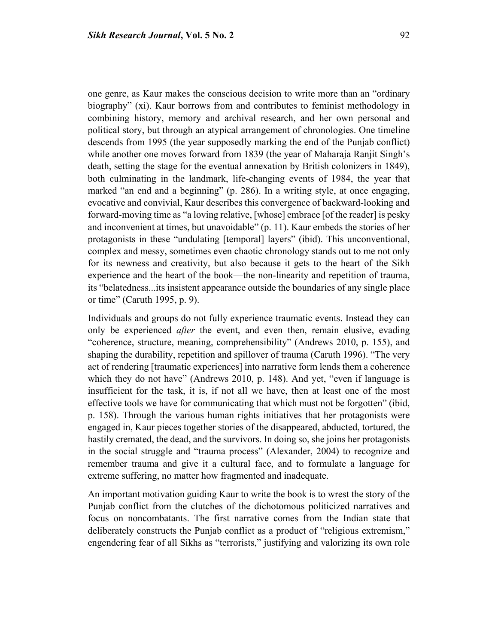one genre, as Kaur makes the conscious decision to write more than an "ordinary biography" (xi). Kaur borrows from and contributes to feminist methodology in combining history, memory and archival research, and her own personal and political story, but through an atypical arrangement of chronologies. One timeline descends from 1995 (the year supposedly marking the end of the Punjab conflict) while another one moves forward from 1839 (the year of Maharaja Ranjit Singh's death, setting the stage for the eventual annexation by British colonizers in 1849), both culminating in the landmark, life-changing events of 1984, the year that marked "an end and a beginning" (p. 286). In a writing style, at once engaging, evocative and convivial, Kaur describes this convergence of backward-looking and forward-moving time as "a loving relative, [whose] embrace [of the reader] is pesky and inconvenient at times, but unavoidable" (p. 11). Kaur embeds the stories of her protagonists in these "undulating [temporal] layers" (ibid). This unconventional, complex and messy, sometimes even chaotic chronology stands out to me not only for its newness and creativity, but also because it gets to the heart of the Sikh experience and the heart of the book—the non-linearity and repetition of trauma, its "belatedness...its insistent appearance outside the boundaries of any single place or time" (Caruth 1995, p. 9).

Individuals and groups do not fully experience traumatic events. Instead they can only be experienced *after* the event, and even then, remain elusive, evading "coherence, structure, meaning, comprehensibility" (Andrews 2010, p. 155), and shaping the durability, repetition and spillover of trauma (Caruth 1996). "The very act of rendering [traumatic experiences] into narrative form lends them a coherence which they do not have" (Andrews 2010, p. 148). And yet, "even if language is insufficient for the task, it is, if not all we have, then at least one of the most effective tools we have for communicating that which must not be forgotten" (ibid, p. 158). Through the various human rights initiatives that her protagonists were engaged in, Kaur pieces together stories of the disappeared, abducted, tortured, the hastily cremated, the dead, and the survivors. In doing so, she joins her protagonists in the social struggle and "trauma process" (Alexander, 2004) to recognize and remember trauma and give it a cultural face, and to formulate a language for extreme suffering, no matter how fragmented and inadequate.

An important motivation guiding Kaur to write the book is to wrest the story of the Punjab conflict from the clutches of the dichotomous politicized narratives and focus on noncombatants. The first narrative comes from the Indian state that deliberately constructs the Punjab conflict as a product of "religious extremism," engendering fear of all Sikhs as "terrorists," justifying and valorizing its own role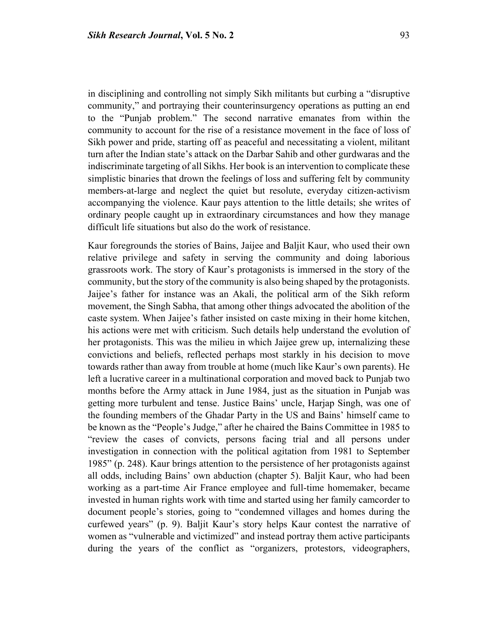in disciplining and controlling not simply Sikh militants but curbing a "disruptive community," and portraying their counterinsurgency operations as putting an end to the "Punjab problem." The second narrative emanates from within the community to account for the rise of a resistance movement in the face of loss of Sikh power and pride, starting off as peaceful and necessitating a violent, militant turn after the Indian state's attack on the Darbar Sahib and other gurdwaras and the indiscriminate targeting of all Sikhs. Her book is an intervention to complicate these simplistic binaries that drown the feelings of loss and suffering felt by community members-at-large and neglect the quiet but resolute, everyday citizen-activism accompanying the violence. Kaur pays attention to the little details; she writes of ordinary people caught up in extraordinary circumstances and how they manage difficult life situations but also do the work of resistance.

Kaur foregrounds the stories of Bains, Jaijee and Baljit Kaur, who used their own relative privilege and safety in serving the community and doing laborious grassroots work. The story of Kaur's protagonists is immersed in the story of the community, but the story of the community is also being shaped by the protagonists. Jaijee's father for instance was an Akali, the political arm of the Sikh reform movement, the Singh Sabha, that among other things advocated the abolition of the caste system. When Jaijee's father insisted on caste mixing in their home kitchen, his actions were met with criticism. Such details help understand the evolution of her protagonists. This was the milieu in which Jaijee grew up, internalizing these convictions and beliefs, reflected perhaps most starkly in his decision to move towards rather than away from trouble at home (much like Kaur's own parents). He left a lucrative career in a multinational corporation and moved back to Punjab two months before the Army attack in June 1984, just as the situation in Punjab was getting more turbulent and tense. Justice Bains' uncle, Harjap Singh, was one of the founding members of the Ghadar Party in the US and Bains' himself came to be known as the "People's Judge," after he chaired the Bains Committee in 1985 to "review the cases of convicts, persons facing trial and all persons under investigation in connection with the political agitation from 1981 to September 1985" (p. 248). Kaur brings attention to the persistence of her protagonists against all odds, including Bains' own abduction (chapter 5). Baljit Kaur, who had been working as a part-time Air France employee and full-time homemaker, became invested in human rights work with time and started using her family camcorder to document people's stories, going to "condemned villages and homes during the curfewed years" (p. 9). Baljit Kaur's story helps Kaur contest the narrative of women as "vulnerable and victimized" and instead portray them active participants during the years of the conflict as "organizers, protestors, videographers,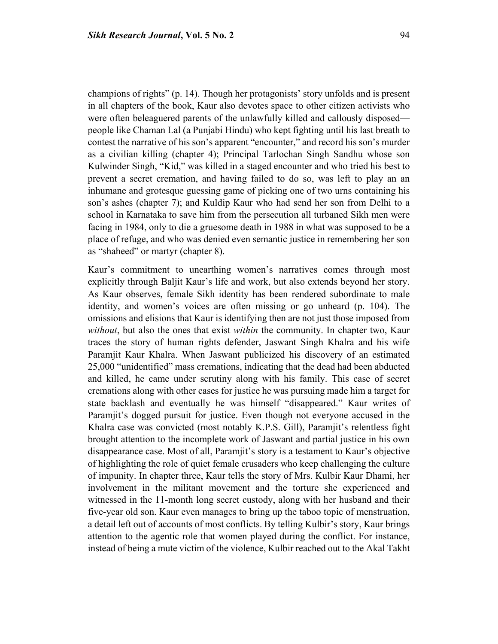champions of rights" (p. 14). Though her protagonists' story unfolds and is present in all chapters of the book, Kaur also devotes space to other citizen activists who were often beleaguered parents of the unlawfully killed and callously disposed people like Chaman Lal (a Punjabi Hindu) who kept fighting until his last breath to contest the narrative of his son's apparent "encounter," and record his son's murder as a civilian killing (chapter 4); Principal Tarlochan Singh Sandhu whose son Kulwinder Singh, "Kid," was killed in a staged encounter and who tried his best to prevent a secret cremation, and having failed to do so, was left to play an an inhumane and grotesque guessing game of picking one of two urns containing his son's ashes (chapter 7); and Kuldip Kaur who had send her son from Delhi to a school in Karnataka to save him from the persecution all turbaned Sikh men were facing in 1984, only to die a gruesome death in 1988 in what was supposed to be a place of refuge, and who was denied even semantic justice in remembering her son as "shaheed" or martyr (chapter 8).

Kaur's commitment to unearthing women's narratives comes through most explicitly through Baljit Kaur's life and work, but also extends beyond her story. As Kaur observes, female Sikh identity has been rendered subordinate to male identity, and women's voices are often missing or go unheard (p. 104). The omissions and elisions that Kaur is identifying then are not just those imposed from *without*, but also the ones that exist *within* the community. In chapter two, Kaur traces the story of human rights defender, Jaswant Singh Khalra and his wife Paramjit Kaur Khalra. When Jaswant publicized his discovery of an estimated 25,000 "unidentified" mass cremations, indicating that the dead had been abducted and killed, he came under scrutiny along with his family. This case of secret cremations along with other cases for justice he was pursuing made him a target for state backlash and eventually he was himself "disappeared." Kaur writes of Paramjit's dogged pursuit for justice. Even though not everyone accused in the Khalra case was convicted (most notably K.P.S. Gill), Paramjit's relentless fight brought attention to the incomplete work of Jaswant and partial justice in his own disappearance case. Most of all, Paramjit's story is a testament to Kaur's objective of highlighting the role of quiet female crusaders who keep challenging the culture of impunity. In chapter three, Kaur tells the story of Mrs. Kulbir Kaur Dhami, her involvement in the militant movement and the torture she experienced and witnessed in the 11-month long secret custody, along with her husband and their five-year old son. Kaur even manages to bring up the taboo topic of menstruation, a detail left out of accounts of most conflicts. By telling Kulbir's story, Kaur brings attention to the agentic role that women played during the conflict. For instance, instead of being a mute victim of the violence, Kulbir reached out to the Akal Takht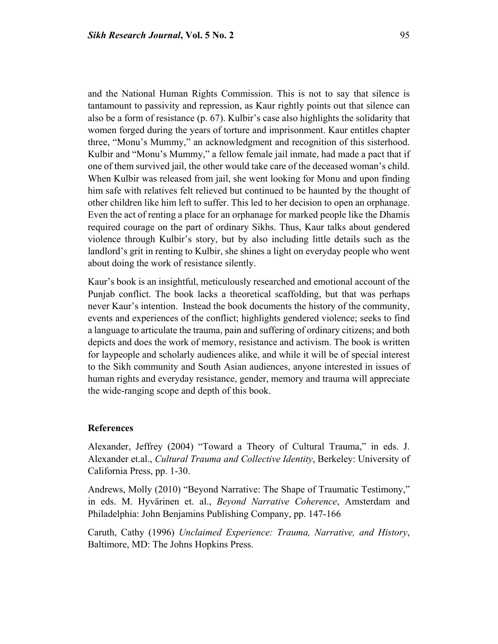and the National Human Rights Commission. This is not to say that silence is tantamount to passivity and repression, as Kaur rightly points out that silence can also be a form of resistance (p. 67). Kulbir's case also highlights the solidarity that women forged during the years of torture and imprisonment. Kaur entitles chapter three, "Monu's Mummy," an acknowledgment and recognition of this sisterhood. Kulbir and "Monu's Mummy," a fellow female jail inmate, had made a pact that if one of them survived jail, the other would take care of the deceased woman's child. When Kulbir was released from jail, she went looking for Monu and upon finding him safe with relatives felt relieved but continued to be haunted by the thought of

other children like him left to suffer. This led to her decision to open an orphanage. Even the act of renting a place for an orphanage for marked people like the Dhamis required courage on the part of ordinary Sikhs. Thus, Kaur talks about gendered violence through Kulbir's story, but by also including little details such as the landlord's grit in renting to Kulbir, she shines a light on everyday people who went about doing the work of resistance silently.

Kaur's book is an insightful, meticulously researched and emotional account of the Punjab conflict. The book lacks a theoretical scaffolding, but that was perhaps never Kaur's intention. Instead the book documents the history of the community, events and experiences of the conflict; highlights gendered violence; seeks to find a language to articulate the trauma, pain and suffering of ordinary citizens; and both depicts and does the work of memory, resistance and activism. The book is written for laypeople and scholarly audiences alike, and while it will be of special interest to the Sikh community and South Asian audiences, anyone interested in issues of human rights and everyday resistance, gender, memory and trauma will appreciate the wide-ranging scope and depth of this book.

#### **References**

Alexander, Jeffrey (2004) "Toward a Theory of Cultural Trauma," in eds. J. Alexander et.al., *Cultural Trauma and Collective Identity*, Berkeley: University of California Press, pp. 1-30.

Andrews, Molly (2010) "Beyond Narrative: The Shape of Traumatic Testimony," in eds. M. Hyvärinen et. al., *Beyond Narrative Coherence*, Amsterdam and Philadelphia: John Benjamins Publishing Company, pp. 147-166

Caruth, Cathy (1996) *Unclaimed Experience: Trauma, Narrative, and History*, Baltimore, MD: The Johns Hopkins Press.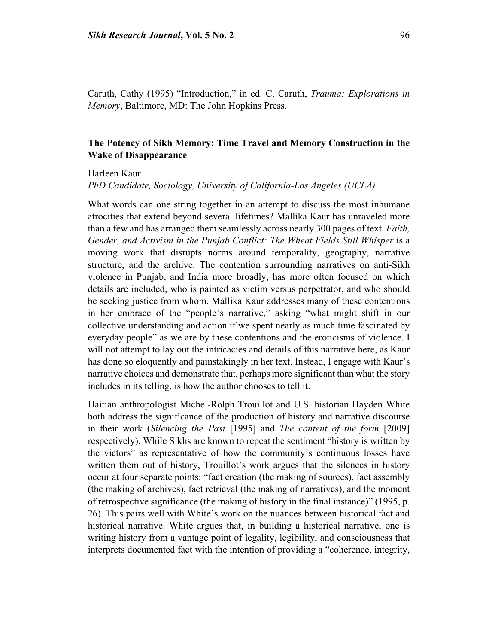Caruth, Cathy (1995) "Introduction," in ed. C. Caruth, *Trauma: Explorations in Memory*, Baltimore, MD: The John Hopkins Press.

# **The Potency of Sikh Memory: Time Travel and Memory Construction in the Wake of Disappearance**

#### Harleen Kaur

*PhD Candidate, Sociology, University of California-Los Angeles (UCLA)*

What words can one string together in an attempt to discuss the most inhumane atrocities that extend beyond several lifetimes? Mallika Kaur has unraveled more than a few and has arranged them seamlessly across nearly 300 pages of text. *Faith, Gender, and Activism in the Punjab Conflict: The Wheat Fields Still Whisper* is a moving work that disrupts norms around temporality, geography, narrative structure, and the archive. The contention surrounding narratives on anti-Sikh violence in Punjab, and India more broadly, has more often focused on which details are included, who is painted as victim versus perpetrator, and who should be seeking justice from whom. Mallika Kaur addresses many of these contentions in her embrace of the "people's narrative," asking "what might shift in our collective understanding and action if we spent nearly as much time fascinated by everyday people" as we are by these contentions and the eroticisms of violence. I will not attempt to lay out the intricacies and details of this narrative here, as Kaur has done so eloquently and painstakingly in her text. Instead, I engage with Kaur's narrative choices and demonstrate that, perhaps more significant than what the story includes in its telling, is how the author chooses to tell it.

Haitian anthropologist Michel-Rolph Trouillot and U.S. historian Hayden White both address the significance of the production of history and narrative discourse in their work (*Silencing the Past* [1995] and *The content of the form* [2009] respectively). While Sikhs are known to repeat the sentiment "history is written by the victors" as representative of how the community's continuous losses have written them out of history, Trouillot's work argues that the silences in history occur at four separate points: "fact creation (the making of sources), fact assembly (the making of archives), fact retrieval (the making of narratives), and the moment of retrospective significance (the making of history in the final instance)" (1995, p. 26). This pairs well with White's work on the nuances between historical fact and historical narrative. White argues that, in building a historical narrative, one is writing history from a vantage point of legality, legibility, and consciousness that interprets documented fact with the intention of providing a "coherence, integrity,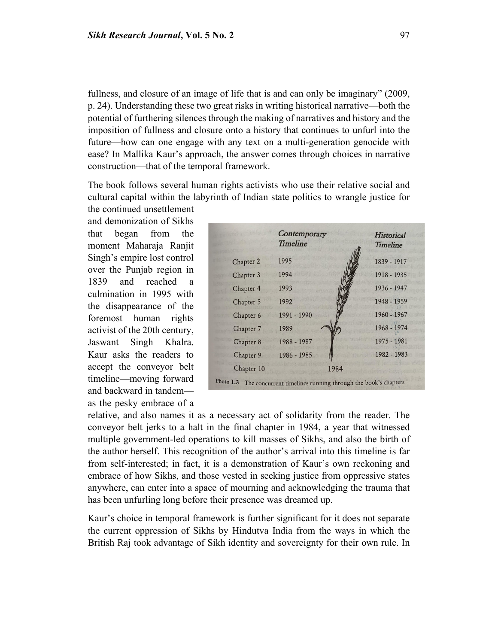fullness, and closure of an image of life that is and can only be imaginary" (2009, p. 24). Understanding these two great risks in writing historical narrative—both the potential of furthering silences through the making of narratives and history and the imposition of fullness and closure onto a history that continues to unfurl into the future—how can one engage with any text on a multi-generation genocide with ease? In Mallika Kaur's approach, the answer comes through choices in narrative construction—that of the temporal framework.

The book follows several human rights activists who use their relative social and cultural capital within the labyrinth of Indian state politics to wrangle justice for the continued unsettlement

and demonization of Sikhs that began from the moment Maharaja Ranjit Singh's empire lost control over the Punjab region in 1839 and reached a culmination in 1995 with the disappearance of the foremost human rights activist of the 20th century, Jaswant Singh Khalra. Kaur asks the readers to accept the conveyor belt timeline—moving forward and backward in tandem as the pesky embrace of a

|                                                                        | Contemporary<br><b>Timeline</b> |      | Historical<br>Timeline |
|------------------------------------------------------------------------|---------------------------------|------|------------------------|
| Chapter 2                                                              | 1995                            |      | 1839 - 1917            |
| Chapter 3                                                              | 1994                            |      | 1918 - 1935            |
| Chapter 4                                                              | 1993                            |      | 1936 - 1947            |
| Chapter 5                                                              | 1992                            |      | 1948 - 1959            |
| Chapter 6                                                              | 1991 - 1990                     |      | 1960 - 1967            |
| Chapter 7                                                              | 1989                            |      | 1968 - 1974            |
| Chapter 8                                                              | 1988 - 1987                     |      | 1975 - 1981            |
| Chapter 9                                                              | 1986 - 1985                     |      | 1982 - 1983            |
| Chapter 10                                                             |                                 | 1984 |                        |
| Photo 1.3 The concurrent timelines running through the book's chapters |                                 |      |                        |

relative, and also names it as a necessary act of solidarity from the reader. The conveyor belt jerks to a halt in the final chapter in 1984, a year that witnessed multiple government-led operations to kill masses of Sikhs, and also the birth of the author herself. This recognition of the author's arrival into this timeline is far from self-interested; in fact, it is a demonstration of Kaur's own reckoning and embrace of how Sikhs, and those vested in seeking justice from oppressive states anywhere, can enter into a space of mourning and acknowledging the trauma that has been unfurling long before their presence was dreamed up.

Kaur's choice in temporal framework is further significant for it does not separate the current oppression of Sikhs by Hindutva India from the ways in which the British Raj took advantage of Sikh identity and sovereignty for their own rule. In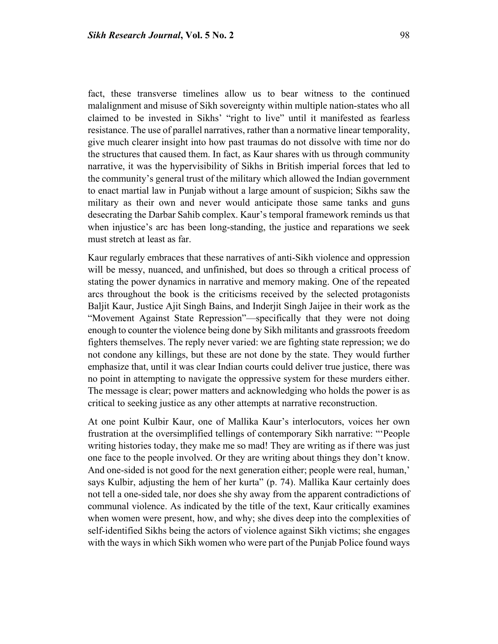fact, these transverse timelines allow us to bear witness to the continued malalignment and misuse of Sikh sovereignty within multiple nation-states who all claimed to be invested in Sikhs' "right to live" until it manifested as fearless resistance. The use of parallel narratives, rather than a normative linear temporality, give much clearer insight into how past traumas do not dissolve with time nor do the structures that caused them. In fact, as Kaur shares with us through community narrative, it was the hypervisibility of Sikhs in British imperial forces that led to the community's general trust of the military which allowed the Indian government to enact martial law in Punjab without a large amount of suspicion; Sikhs saw the military as their own and never would anticipate those same tanks and guns desecrating the Darbar Sahib complex. Kaur's temporal framework reminds us that when injustice's arc has been long-standing, the justice and reparations we seek must stretch at least as far.

Kaur regularly embraces that these narratives of anti-Sikh violence and oppression will be messy, nuanced, and unfinished, but does so through a critical process of stating the power dynamics in narrative and memory making. One of the repeated arcs throughout the book is the criticisms received by the selected protagonists Baljit Kaur, Justice Ajit Singh Bains, and Inderjit Singh Jaijee in their work as the "Movement Against State Repression"—specifically that they were not doing enough to counter the violence being done by Sikh militants and grassroots freedom fighters themselves. The reply never varied: we are fighting state repression; we do not condone any killings, but these are not done by the state. They would further emphasize that, until it was clear Indian courts could deliver true justice, there was no point in attempting to navigate the oppressive system for these murders either. The message is clear; power matters and acknowledging who holds the power is as critical to seeking justice as any other attempts at narrative reconstruction.

At one point Kulbir Kaur, one of Mallika Kaur's interlocutors, voices her own frustration at the oversimplified tellings of contemporary Sikh narrative: "'People writing histories today, they make me so mad! They are writing as if there was just one face to the people involved. Or they are writing about things they don't know. And one-sided is not good for the next generation either; people were real, human,' says Kulbir, adjusting the hem of her kurta" (p. 74). Mallika Kaur certainly does not tell a one-sided tale, nor does she shy away from the apparent contradictions of communal violence. As indicated by the title of the text, Kaur critically examines when women were present, how, and why; she dives deep into the complexities of self-identified Sikhs being the actors of violence against Sikh victims; she engages with the ways in which Sikh women who were part of the Punjab Police found ways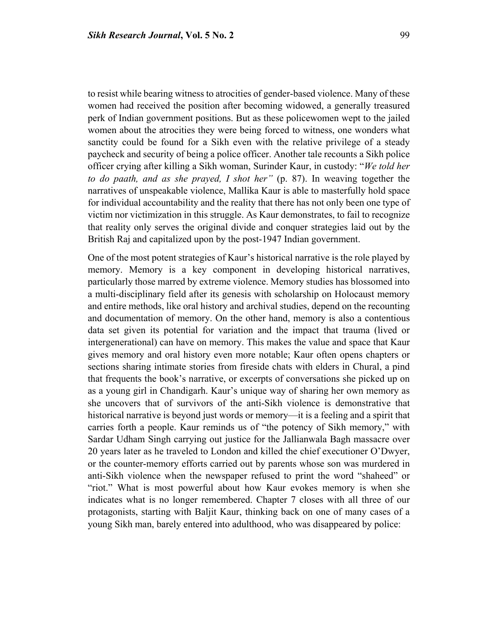to resist while bearing witness to atrocities of gender-based violence. Many of these women had received the position after becoming widowed, a generally treasured perk of Indian government positions. But as these policewomen wept to the jailed women about the atrocities they were being forced to witness, one wonders what sanctity could be found for a Sikh even with the relative privilege of a steady paycheck and security of being a police officer. Another tale recounts a Sikh police officer crying after killing a Sikh woman, Surinder Kaur, in custody: "*We told her to do paath, and as she prayed, I shot her"* (p. 87). In weaving together the narratives of unspeakable violence, Mallika Kaur is able to masterfully hold space for individual accountability and the reality that there has not only been one type of victim nor victimization in this struggle. As Kaur demonstrates, to fail to recognize that reality only serves the original divide and conquer strategies laid out by the British Raj and capitalized upon by the post-1947 Indian government.

One of the most potent strategies of Kaur's historical narrative is the role played by memory. Memory is a key component in developing historical narratives, particularly those marred by extreme violence. Memory studies has blossomed into a multi-disciplinary field after its genesis with scholarship on Holocaust memory and entire methods, like oral history and archival studies, depend on the recounting and documentation of memory. On the other hand, memory is also a contentious data set given its potential for variation and the impact that trauma (lived or intergenerational) can have on memory. This makes the value and space that Kaur gives memory and oral history even more notable; Kaur often opens chapters or sections sharing intimate stories from fireside chats with elders in Chural, a pind that frequents the book's narrative, or excerpts of conversations she picked up on as a young girl in Chandigarh. Kaur's unique way of sharing her own memory as she uncovers that of survivors of the anti-Sikh violence is demonstrative that historical narrative is beyond just words or memory—it is a feeling and a spirit that carries forth a people. Kaur reminds us of "the potency of Sikh memory," with Sardar Udham Singh carrying out justice for the Jallianwala Bagh massacre over 20 years later as he traveled to London and killed the chief executioner O'Dwyer, or the counter-memory efforts carried out by parents whose son was murdered in anti-Sikh violence when the newspaper refused to print the word "shaheed" or "riot." What is most powerful about how Kaur evokes memory is when she indicates what is no longer remembered. Chapter 7 closes with all three of our protagonists, starting with Baljit Kaur, thinking back on one of many cases of a young Sikh man, barely entered into adulthood, who was disappeared by police: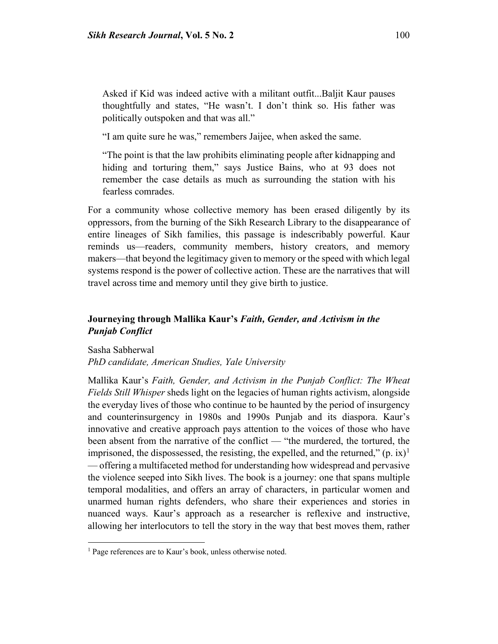Asked if Kid was indeed active with a militant outfit...Baljit Kaur pauses thoughtfully and states, "He wasn't. I don't think so. His father was politically outspoken and that was all."

"I am quite sure he was," remembers Jaijee, when asked the same.

"The point is that the law prohibits eliminating people after kidnapping and hiding and torturing them," says Justice Bains, who at 93 does not remember the case details as much as surrounding the station with his fearless comrades.

For a community whose collective memory has been erased diligently by its oppressors, from the burning of the Sikh Research Library to the disappearance of entire lineages of Sikh families, this passage is indescribably powerful. Kaur reminds us—readers, community members, history creators, and memory makers—that beyond the legitimacy given to memory or the speed with which legal systems respond is the power of collective action. These are the narratives that will travel across time and memory until they give birth to justice.

## **Journeying through Mallika Kaur's** *Faith, Gender, and Activism in the Punjab Conflict*

Sasha Sabherwal

l

*PhD candidate, American Studies, Yale University*

Mallika Kaur's *Faith, Gender, and Activism in the Punjab Conflict: The Wheat Fields Still Whisper* sheds light on the legacies of human rights activism, alongside the everyday lives of those who continue to be haunted by the period of insurgency and counterinsurgency in 1980s and 1990s Punjab and its diaspora. Kaur's innovative and creative approach pays attention to the voices of those who have been absent from the narrative of the conflict — "the murdered, the tortured, the imprisoned, the dispossessed, the resisting, the expelled, and the returned,"  $(p, ix)^{1}$  $(p, ix)^{1}$  $(p, ix)^{1}$ — offering a multifaceted method for understanding how widespread and pervasive the violence seeped into Sikh lives. The book is a journey: one that spans multiple temporal modalities, and offers an array of characters, in particular women and unarmed human rights defenders, who share their experiences and stories in nuanced ways. Kaur's approach as a researcher is reflexive and instructive, allowing her interlocutors to tell the story in the way that best moves them, rather

<span id="page-14-0"></span><sup>&</sup>lt;sup>1</sup> Page references are to Kaur's book, unless otherwise noted.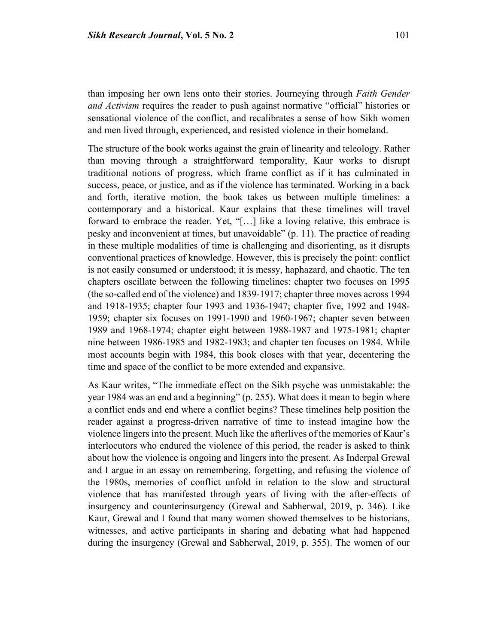than imposing her own lens onto their stories. Journeying through *Faith Gender and Activism* requires the reader to push against normative "official" histories or sensational violence of the conflict, and recalibrates a sense of how Sikh women

The structure of the book works against the grain of linearity and teleology. Rather than moving through a straightforward temporality, Kaur works to disrupt traditional notions of progress, which frame conflict as if it has culminated in success, peace, or justice, and as if the violence has terminated. Working in a back and forth, iterative motion, the book takes us between multiple timelines: a contemporary and a historical. Kaur explains that these timelines will travel forward to embrace the reader. Yet, "[…] like a loving relative, this embrace is pesky and inconvenient at times, but unavoidable" (p. 11). The practice of reading in these multiple modalities of time is challenging and disorienting, as it disrupts conventional practices of knowledge. However, this is precisely the point: conflict is not easily consumed or understood; it is messy, haphazard, and chaotic. The ten chapters oscillate between the following timelines: chapter two focuses on 1995 (the so-called end of the violence) and 1839-1917; chapter three moves across 1994 and 1918-1935; chapter four 1993 and 1936-1947; chapter five, 1992 and 1948- 1959; chapter six focuses on 1991-1990 and 1960-1967; chapter seven between 1989 and 1968-1974; chapter eight between 1988-1987 and 1975-1981; chapter nine between 1986-1985 and 1982-1983; and chapter ten focuses on 1984. While most accounts begin with 1984, this book closes with that year, decentering the time and space of the conflict to be more extended and expansive.

and men lived through, experienced, and resisted violence in their homeland.

As Kaur writes, "The immediate effect on the Sikh psyche was unmistakable: the year 1984 was an end and a beginning" (p. 255). What does it mean to begin where a conflict ends and end where a conflict begins? These timelines help position the reader against a progress-driven narrative of time to instead imagine how the violence lingers into the present. Much like the afterlives of the memories of Kaur's interlocutors who endured the violence of this period, the reader is asked to think about how the violence is ongoing and lingers into the present. As Inderpal Grewal and I argue in an essay on remembering, forgetting, and refusing the violence of the 1980s, memories of conflict unfold in relation to the slow and structural violence that has manifested through years of living with the after-effects of insurgency and counterinsurgency (Grewal and Sabherwal, 2019, p. 346). Like Kaur, Grewal and I found that many women showed themselves to be historians, witnesses, and active participants in sharing and debating what had happened during the insurgency (Grewal and Sabherwal, 2019, p. 355). The women of our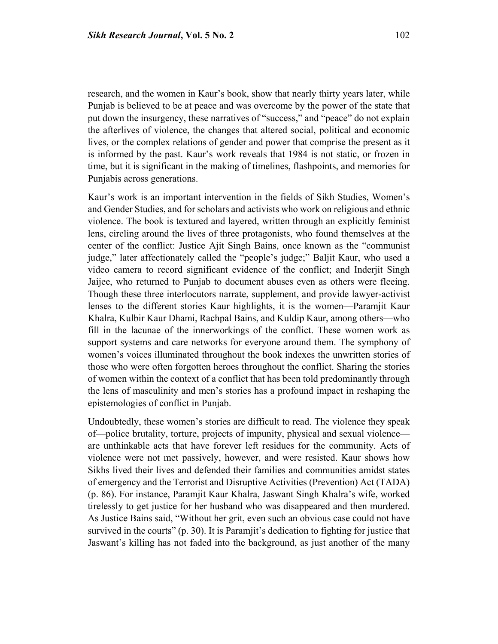research, and the women in Kaur's book, show that nearly thirty years later, while Punjab is believed to be at peace and was overcome by the power of the state that put down the insurgency, these narratives of "success," and "peace" do not explain the afterlives of violence, the changes that altered social, political and economic lives, or the complex relations of gender and power that comprise the present as it is informed by the past. Kaur's work reveals that 1984 is not static, or frozen in time, but it is significant in the making of timelines, flashpoints, and memories for Punjabis across generations.

Kaur's work is an important intervention in the fields of Sikh Studies, Women's and Gender Studies, and for scholars and activists who work on religious and ethnic violence. The book is textured and layered, written through an explicitly feminist lens, circling around the lives of three protagonists, who found themselves at the center of the conflict: Justice Ajit Singh Bains, once known as the "communist judge," later affectionately called the "people's judge;" Baljit Kaur, who used a video camera to record significant evidence of the conflict; and Inderjit Singh Jaijee, who returned to Punjab to document abuses even as others were fleeing. Though these three interlocutors narrate, supplement, and provide lawyer-activist lenses to the different stories Kaur highlights, it is the women—Paramjit Kaur Khalra, Kulbir Kaur Dhami, Rachpal Bains, and Kuldip Kaur, among others—who fill in the lacunae of the innerworkings of the conflict. These women work as support systems and care networks for everyone around them. The symphony of women's voices illuminated throughout the book indexes the unwritten stories of those who were often forgotten heroes throughout the conflict. Sharing the stories of women within the context of a conflict that has been told predominantly through the lens of masculinity and men's stories has a profound impact in reshaping the epistemologies of conflict in Punjab.

Undoubtedly, these women's stories are difficult to read. The violence they speak of—police brutality, torture, projects of impunity, physical and sexual violence are unthinkable acts that have forever left residues for the community. Acts of violence were not met passively, however, and were resisted. Kaur shows how Sikhs lived their lives and defended their families and communities amidst states of emergency and the Terrorist and Disruptive Activities (Prevention) Act (TADA) (p. 86). For instance, Paramjit Kaur Khalra, Jaswant Singh Khalra's wife, worked tirelessly to get justice for her husband who was disappeared and then murdered. As Justice Bains said, "Without her grit, even such an obvious case could not have survived in the courts" (p. 30). It is Paramjit's dedication to fighting for justice that Jaswant's killing has not faded into the background, as just another of the many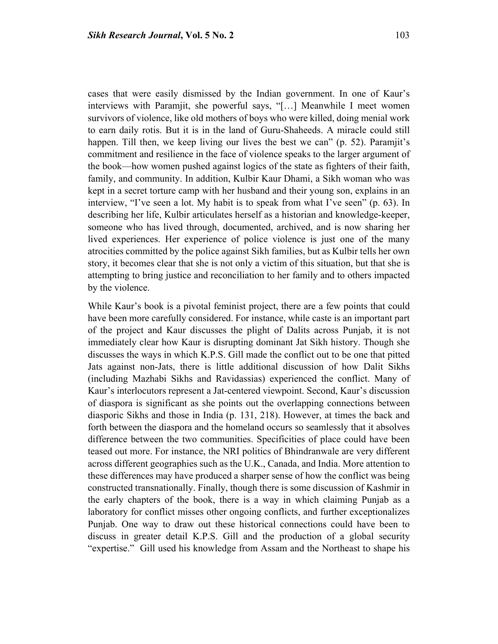cases that were easily dismissed by the Indian government. In one of Kaur's interviews with Paramjit, she powerful says, "[…] Meanwhile I meet women survivors of violence, like old mothers of boys who were killed, doing menial work to earn daily rotis. But it is in the land of Guru-Shaheeds. A miracle could still happen. Till then, we keep living our lives the best we can" (p. 52). Paramjit's commitment and resilience in the face of violence speaks to the larger argument of the book—how women pushed against logics of the state as fighters of their faith, family, and community. In addition, Kulbir Kaur Dhami, a Sikh woman who was kept in a secret torture camp with her husband and their young son, explains in an interview, "I've seen a lot. My habit is to speak from what I've seen" (p. 63). In describing her life, Kulbir articulates herself as a historian and knowledge-keeper, someone who has lived through, documented, archived, and is now sharing her lived experiences. Her experience of police violence is just one of the many atrocities committed by the police against Sikh families, but as Kulbir tells her own story, it becomes clear that she is not only a victim of this situation, but that she is attempting to bring justice and reconciliation to her family and to others impacted by the violence.

While Kaur's book is a pivotal feminist project, there are a few points that could have been more carefully considered. For instance, while caste is an important part of the project and Kaur discusses the plight of Dalits across Punjab, it is not immediately clear how Kaur is disrupting dominant Jat Sikh history. Though she discusses the ways in which K.P.S. Gill made the conflict out to be one that pitted Jats against non-Jats, there is little additional discussion of how Dalit Sikhs (including Mazhabi Sikhs and Ravidassias) experienced the conflict. Many of Kaur's interlocutors represent a Jat-centered viewpoint. Second, Kaur's discussion of diaspora is significant as she points out the overlapping connections between diasporic Sikhs and those in India (p. 131, 218). However, at times the back and forth between the diaspora and the homeland occurs so seamlessly that it absolves difference between the two communities. Specificities of place could have been teased out more. For instance, the NRI politics of Bhindranwale are very different across different geographies such as the U.K., Canada, and India. More attention to these differences may have produced a sharper sense of how the conflict was being constructed transnationally. Finally, though there is some discussion of Kashmir in the early chapters of the book, there is a way in which claiming Punjab as a laboratory for conflict misses other ongoing conflicts, and further exceptionalizes Punjab. One way to draw out these historical connections could have been to discuss in greater detail K.P.S. Gill and the production of a global security "expertise." Gill used his knowledge from Assam and the Northeast to shape his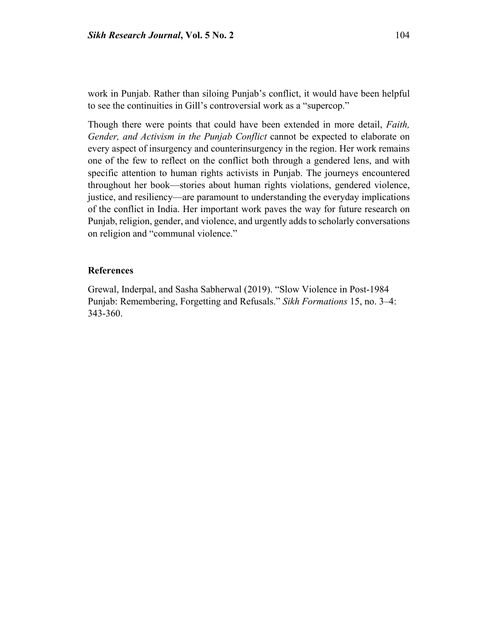Though there were points that could have been extended in more detail, *Faith, Gender, and Activism in the Punjab Conflict* cannot be expected to elaborate on every aspect of insurgency and counterinsurgency in the region. Her work remains one of the few to reflect on the conflict both through a gendered lens, and with specific attention to human rights activists in Punjab. The journeys encountered throughout her book—stories about human rights violations, gendered violence, justice, and resiliency—are paramount to understanding the everyday implications of the conflict in India. Her important work paves the way for future research on Punjab, religion, gender, and violence, and urgently adds to scholarly conversations on religion and "communal violence."

### **References**

Grewal, Inderpal, and Sasha Sabherwal (2019). "Slow Violence in Post-1984 Punjab: Remembering, Forgetting and Refusals." *Sikh Formations* 15, no. 3–4: 343-360.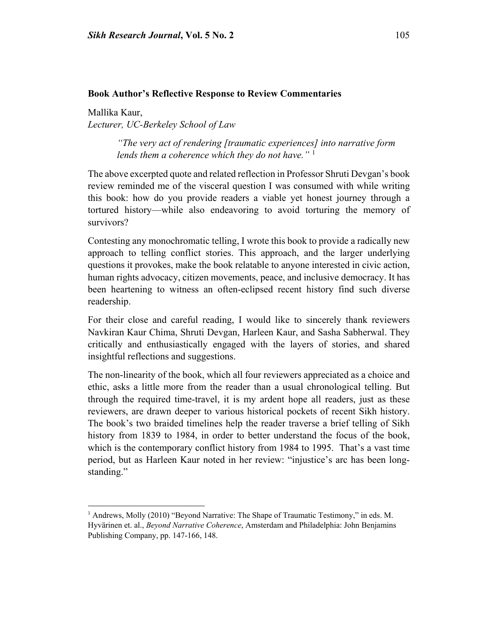#### **Book Author's Reflective Response to Review Commentaries**

Mallika Kaur, *Lecturer, UC-Berkeley School of Law*

 $\overline{\phantom{a}}$ 

*"The very act of rendering [traumatic experiences] into narrative form lends them a coherence which they do not have."* [1](#page-19-0)

The above excerpted quote and related reflection in Professor Shruti Devgan's book review reminded me of the visceral question I was consumed with while writing this book: how do you provide readers a viable yet honest journey through a tortured history—while also endeavoring to avoid torturing the memory of survivors?

Contesting any monochromatic telling, I wrote this book to provide a radically new approach to telling conflict stories. This approach, and the larger underlying questions it provokes, make the book relatable to anyone interested in civic action, human rights advocacy, citizen movements, peace, and inclusive democracy. It has been heartening to witness an often-eclipsed recent history find such diverse readership.

For their close and careful reading, I would like to sincerely thank reviewers Navkiran Kaur Chima, Shruti Devgan, Harleen Kaur, and Sasha Sabherwal. They critically and enthusiastically engaged with the layers of stories, and shared insightful reflections and suggestions.

The non-linearity of the book, which all four reviewers appreciated as a choice and ethic, asks a little more from the reader than a usual chronological telling. But through the required time-travel, it is my ardent hope all readers, just as these reviewers, are drawn deeper to various historical pockets of recent Sikh history. The book's two braided timelines help the reader traverse a brief telling of Sikh history from 1839 to 1984, in order to better understand the focus of the book, which is the contemporary conflict history from 1984 to 1995. That's a vast time period, but as Harleen Kaur noted in her review: "injustice's arc has been longstanding."

<span id="page-19-0"></span><sup>&</sup>lt;sup>1</sup> Andrews, Molly (2010) "Beyond Narrative: The Shape of Traumatic Testimony," in eds. M. Hyvärinen et. al., *Beyond Narrative Coherence*, Amsterdam and Philadelphia: John Benjamins Publishing Company, pp. 147-166, 148.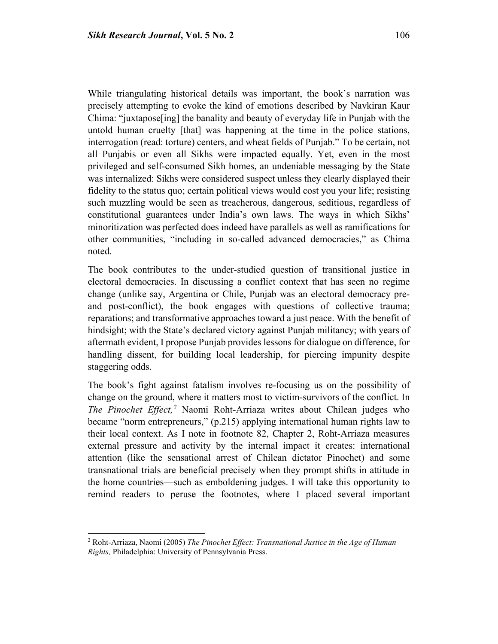While triangulating historical details was important, the book's narration was precisely attempting to evoke the kind of emotions described by Navkiran Kaur Chima: "juxtapose[ing] the banality and beauty of everyday life in Punjab with the untold human cruelty [that] was happening at the time in the police stations, interrogation (read: torture) centers, and wheat fields of Punjab." To be certain, not all Punjabis or even all Sikhs were impacted equally. Yet, even in the most privileged and self-consumed Sikh homes, an undeniable messaging by the State was internalized: Sikhs were considered suspect unless they clearly displayed their fidelity to the status quo; certain political views would cost you your life; resisting such muzzling would be seen as treacherous, dangerous, seditious, regardless of constitutional guarantees under India's own laws. The ways in which Sikhs' minoritization was perfected does indeed have parallels as well as ramifications for other communities, "including in so-called advanced democracies," as Chima noted.

The book contributes to the under-studied question of transitional justice in electoral democracies. In discussing a conflict context that has seen no regime change (unlike say, Argentina or Chile, Punjab was an electoral democracy preand post-conflict), the book engages with questions of collective trauma; reparations; and transformative approaches toward a just peace. With the benefit of hindsight; with the State's declared victory against Punjab militancy; with years of aftermath evident, I propose Punjab provides lessons for dialogue on difference, for handling dissent, for building local leadership, for piercing impunity despite staggering odds.

The book's fight against fatalism involves re-focusing us on the possibility of change on the ground, where it matters most to victim-survivors of the conflict. In *The Pinochet Effect,[2](#page-20-0)* Naomi Roht-Arriaza writes about Chilean judges who became "norm entrepreneurs," (p.215) applying international human rights law to their local context. As I note in footnote 82, Chapter 2, Roht-Arriaza measures external pressure and activity by the internal impact it creates: international attention (like the sensational arrest of Chilean dictator Pinochet) and some transnational trials are beneficial precisely when they prompt shifts in attitude in the home countries—such as emboldening judges. I will take this opportunity to remind readers to peruse the footnotes, where I placed several important

 $\overline{\phantom{a}}$ 

<span id="page-20-0"></span><sup>2</sup> Roht-Arriaza, Naomi (2005) *The Pinochet Effect: Transnational Justice in the Age of Human Rights,* Philadelphia: University of Pennsylvania Press.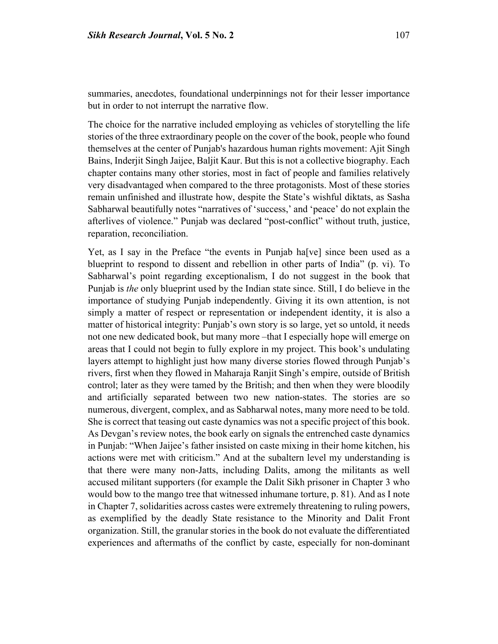summaries, anecdotes, foundational underpinnings not for their lesser importance but in order to not interrupt the narrative flow.

The choice for the narrative included employing as vehicles of storytelling the life stories of the three extraordinary people on the cover of the book, people who found themselves at the center of Punjab's hazardous human rights movement: Ajit Singh Bains, Inderjit Singh Jaijee, Baljit Kaur. But this is not a collective biography. Each chapter contains many other stories, most in fact of people and families relatively very disadvantaged when compared to the three protagonists. Most of these stories remain unfinished and illustrate how, despite the State's wishful diktats, as Sasha Sabharwal beautifully notes "narratives of 'success,' and 'peace' do not explain the afterlives of violence." Punjab was declared "post-conflict" without truth, justice, reparation, reconciliation.

Yet, as I say in the Preface "the events in Punjab ha[ve] since been used as a blueprint to respond to dissent and rebellion in other parts of India" (p. vi). To Sabharwal's point regarding exceptionalism, I do not suggest in the book that Punjab is *the* only blueprint used by the Indian state since. Still, I do believe in the importance of studying Punjab independently. Giving it its own attention, is not simply a matter of respect or representation or independent identity, it is also a matter of historical integrity: Punjab's own story is so large, yet so untold, it needs not one new dedicated book, but many more –that I especially hope will emerge on areas that I could not begin to fully explore in my project. This book's undulating layers attempt to highlight just how many diverse stories flowed through Punjab's rivers, first when they flowed in Maharaja Ranjit Singh's empire, outside of British control; later as they were tamed by the British; and then when they were bloodily and artificially separated between two new nation-states. The stories are so numerous, divergent, complex, and as Sabharwal notes, many more need to be told. She is correct that teasing out caste dynamics was not a specific project of this book. As Devgan's review notes, the book early on signals the entrenched caste dynamics in Punjab: "When Jaijee's father insisted on caste mixing in their home kitchen, his actions were met with criticism." And at the subaltern level my understanding is that there were many non-Jatts, including Dalits, among the militants as well accused militant supporters (for example the Dalit Sikh prisoner in Chapter 3 who would bow to the mango tree that witnessed inhumane torture, p. 81). And as I note in Chapter 7, solidarities across castes were extremely threatening to ruling powers, as exemplified by the deadly State resistance to the Minority and Dalit Front organization. Still, the granular stories in the book do not evaluate the differentiated experiences and aftermaths of the conflict by caste, especially for non-dominant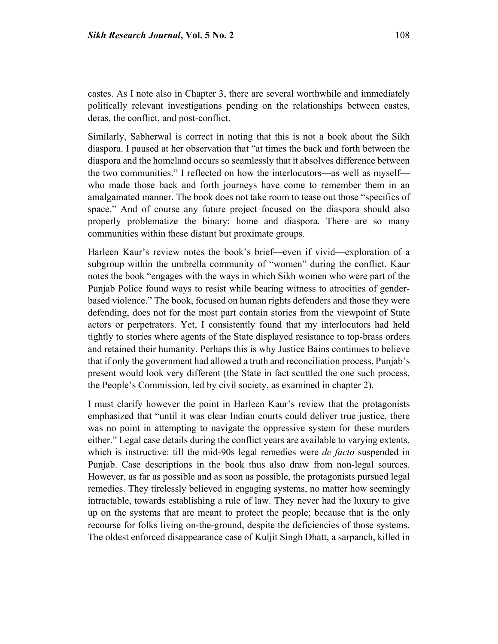castes. As I note also in Chapter 3, there are several worthwhile and immediately politically relevant investigations pending on the relationships between castes, deras, the conflict, and post-conflict.

Similarly, Sabherwal is correct in noting that this is not a book about the Sikh diaspora. I paused at her observation that "at times the back and forth between the diaspora and the homeland occurs so seamlessly that it absolves difference between the two communities." I reflected on how the interlocutors—as well as myself who made those back and forth journeys have come to remember them in an amalgamated manner. The book does not take room to tease out those "specifics of space." And of course any future project focused on the diaspora should also properly problematize the binary: home and diaspora. There are so many communities within these distant but proximate groups.

Harleen Kaur's review notes the book's brief—even if vivid—exploration of a subgroup within the umbrella community of "women" during the conflict. Kaur notes the book "engages with the ways in which Sikh women who were part of the Punjab Police found ways to resist while bearing witness to atrocities of genderbased violence." The book, focused on human rights defenders and those they were defending, does not for the most part contain stories from the viewpoint of State actors or perpetrators. Yet, I consistently found that my interlocutors had held tightly to stories where agents of the State displayed resistance to top-brass orders and retained their humanity. Perhaps this is why Justice Bains continues to believe that if only the government had allowed a truth and reconciliation process, Punjab's present would look very different (the State in fact scuttled the one such process, the People's Commission, led by civil society, as examined in chapter 2).

I must clarify however the point in Harleen Kaur's review that the protagonists emphasized that "until it was clear Indian courts could deliver true justice, there was no point in attempting to navigate the oppressive system for these murders either." Legal case details during the conflict years are available to varying extents, which is instructive: till the mid-90s legal remedies were *de facto* suspended in Punjab. Case descriptions in the book thus also draw from non-legal sources. However, as far as possible and as soon as possible, the protagonists pursued legal remedies. They tirelessly believed in engaging systems, no matter how seemingly intractable, towards establishing a rule of law. They never had the luxury to give up on the systems that are meant to protect the people; because that is the only recourse for folks living on-the-ground, despite the deficiencies of those systems. The oldest enforced disappearance case of Kuljit Singh Dhatt, a sarpanch, killed in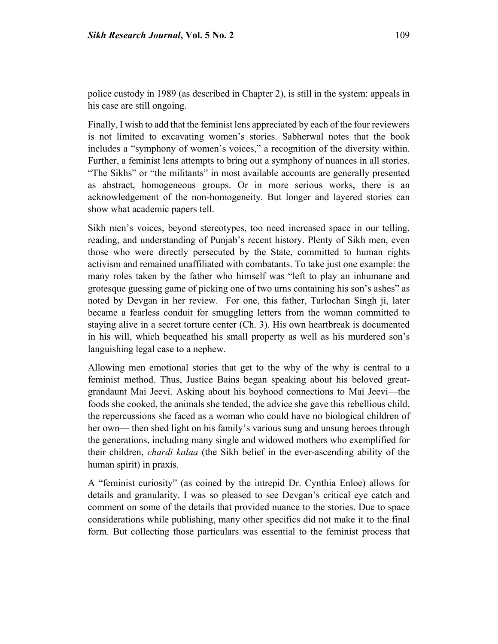police custody in 1989 (as described in Chapter 2), is still in the system: appeals in his case are still ongoing.

Finally, I wish to add that the feminist lens appreciated by each of the four reviewers is not limited to excavating women's stories. Sabherwal notes that the book includes a "symphony of women's voices," a recognition of the diversity within. Further, a feminist lens attempts to bring out a symphony of nuances in all stories. "The Sikhs" or "the militants" in most available accounts are generally presented as abstract, homogeneous groups. Or in more serious works, there is an acknowledgement of the non-homogeneity. But longer and layered stories can show what academic papers tell.

Sikh men's voices, beyond stereotypes, too need increased space in our telling, reading, and understanding of Punjab's recent history. Plenty of Sikh men, even those who were directly persecuted by the State, committed to human rights activism and remained unaffiliated with combatants. To take just one example: the many roles taken by the father who himself was "left to play an inhumane and grotesque guessing game of picking one of two urns containing his son's ashes" as noted by Devgan in her review. For one, this father, Tarlochan Singh ji, later became a fearless conduit for smuggling letters from the woman committed to staying alive in a secret torture center (Ch. 3). His own heartbreak is documented in his will, which bequeathed his small property as well as his murdered son's languishing legal case to a nephew.

Allowing men emotional stories that get to the why of the why is central to a feminist method. Thus, Justice Bains began speaking about his beloved greatgrandaunt Mai Jeevi. Asking about his boyhood connections to Mai Jeevi—the foods she cooked, the animals she tended, the advice she gave this rebellious child, the repercussions she faced as a woman who could have no biological children of her own— then shed light on his family's various sung and unsung heroes through the generations, including many single and widowed mothers who exemplified for their children, *chardi kalaa* (the Sikh belief in the ever-ascending ability of the human spirit) in praxis.

A "feminist curiosity" (as coined by the intrepid Dr. Cynthia Enloe) allows for details and granularity. I was so pleased to see Devgan's critical eye catch and comment on some of the details that provided nuance to the stories. Due to space considerations while publishing, many other specifics did not make it to the final form. But collecting those particulars was essential to the feminist process that